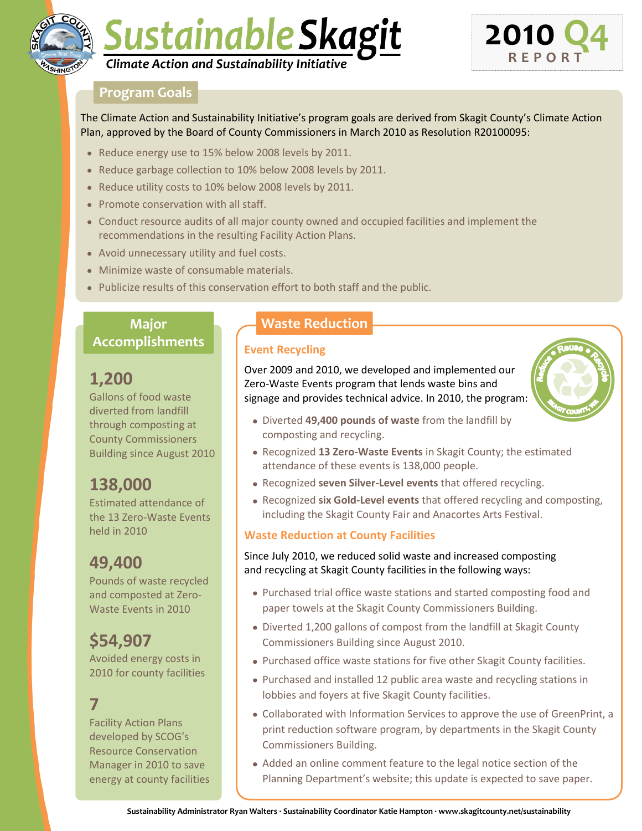

# Sustainable Skagit *Climate Action and Sustainability Initiative*



#### **Program Goals**

The Climate Action and Sustainability Initiative's program goals are derived from Skagit County's Climate Action Plan, approved by the Board of County Commissioners in March 2010 as Resolution R20100095:

- Reduce energy use to 15% below 2008 levels by 2011.
- Reduce garbage collection to 10% below 2008 levels by 2011.
- Reduce utility costs to 10% below 2008 levels by 2011.
- Promote conservation with all staff.
- Conduct resource audits of all major county owned and occupied facilities and implement the recommendations in the resulting Facility Action Plans.
- Avoid unnecessary utility and fuel costs.
- Minimize waste of consumable materials.
- Publicize results of this conservation effort to both staff and the public.

## **Major Accomplishments Event Recycling**

## **1,200**

Gallons of food waste diverted from landfill through composting at County Commissioners Building since August 2010

## **138,000**

Estimated attendance of the 13 Zero-Waste Events held in 2010

## **49,400**

Pounds of waste recycled and composted at Zero-Waste Events in 2010

## **\$54,907**

Avoided energy costs in 2010 for county facilities

## **7**

Facility Action Plans developed by SCOG's Resource Conservation Manager in 2010 to save energy at county facilities

### **Waste Reduction**

Over 2009 and 2010, we developed and implemented our Zero-Waste Events program that lends waste bins and signage and provides technical advice. In 2010, the program:



- Diverted **49,400 pounds of waste** from the landfill by composting and recycling.
- Recognized **13 Zero-Waste Events** in Skagit County; the estimated attendance of these events is 138,000 people.
- Recognized **seven Silver-Level events** that offered recycling.
- Recognized **six Gold-Level events** that offered recycling and composting, including the Skagit County Fair and Anacortes Arts Festival.

#### **Waste Reduction at County Facilities**

Since July 2010, we reduced solid waste and increased composting and recycling at Skagit County facilities in the following ways:

- Purchased trial office waste stations and started composting food and paper towels at the Skagit County Commissioners Building.
- Diverted 1,200 gallons of compost from the landfill at Skagit County Commissioners Building since August 2010.
- Purchased office waste stations for five other Skagit County facilities.
- Purchased and installed 12 public area waste and recycling stations in lobbies and foyers at five Skagit County facilities.
- Collaborated with Information Services to approve the use of GreenPrint, a print reduction software program, by departments in the Skagit County Commissioners Building.
- Added an online comment feature to the legal notice section of the Planning Department's website; this update is expected to save paper.